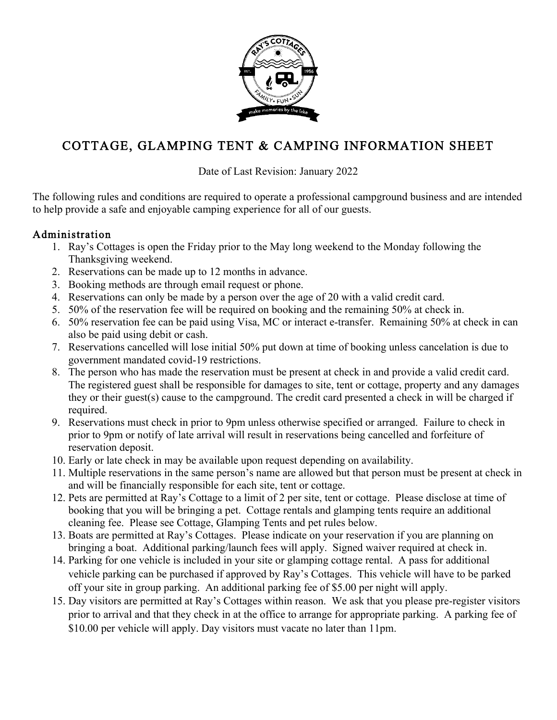

# COTTAGE, GLAMPING TENT & CAMPING INFORMATION SHEET

Date of Last Revision: January 2022

The following rules and conditions are required to operate a professional campground business and are intended to help provide a safe and enjoyable camping experience for all of our guests.

#### Administration

- 1. Ray's Cottages is open the Friday prior to the May long weekend to the Monday following the Thanksgiving weekend.
- 2. Reservations can be made up to 12 months in advance.
- 3. Booking methods are through email request or phone.
- 4. Reservations can only be made by a person over the age of 20 with a valid credit card.
- 5. 50% of the reservation fee will be required on booking and the remaining 50% at check in.
- 6. 50% reservation fee can be paid using Visa, MC or interact e-transfer. Remaining 50% at check in can also be paid using debit or cash.
- 7. Reservations cancelled will lose initial 50% put down at time of booking unless cancelation is due to government mandated covid-19 restrictions.
- 8. The person who has made the reservation must be present at check in and provide a valid credit card. The registered guest shall be responsible for damages to site, tent or cottage, property and any damages they or their guest(s) cause to the campground. The credit card presented a check in will be charged if required.
- 9. Reservations must check in prior to 9pm unless otherwise specified or arranged. Failure to check in prior to 9pm or notify of late arrival will result in reservations being cancelled and forfeiture of reservation deposit.
- 10. Early or late check in may be available upon request depending on availability.
- 11. Multiple reservations in the same person's name are allowed but that person must be present at check in and will be financially responsible for each site, tent or cottage.
- 12. Pets are permitted at Ray's Cottage to a limit of 2 per site, tent or cottage. Please disclose at time of booking that you will be bringing a pet. Cottage rentals and glamping tents require an additional cleaning fee. Please see Cottage, Glamping Tents and pet rules below.
- 13. Boats are permitted at Ray's Cottages. Please indicate on your reservation if you are planning on bringing a boat. Additional parking/launch fees will apply. Signed waiver required at check in.
- 14. Parking for one vehicle is included in your site or glamping cottage rental. A pass for additional vehicle parking can be purchased if approved by Ray's Cottages. This vehicle will have to be parked off your site in group parking. An additional parking fee of \$5.00 per night will apply.
- 15. Day visitors are permitted at Ray's Cottages within reason. We ask that you please pre-register visitors prior to arrival and that they check in at the office to arrange for appropriate parking. A parking fee of \$10.00 per vehicle will apply. Day visitors must vacate no later than 11pm.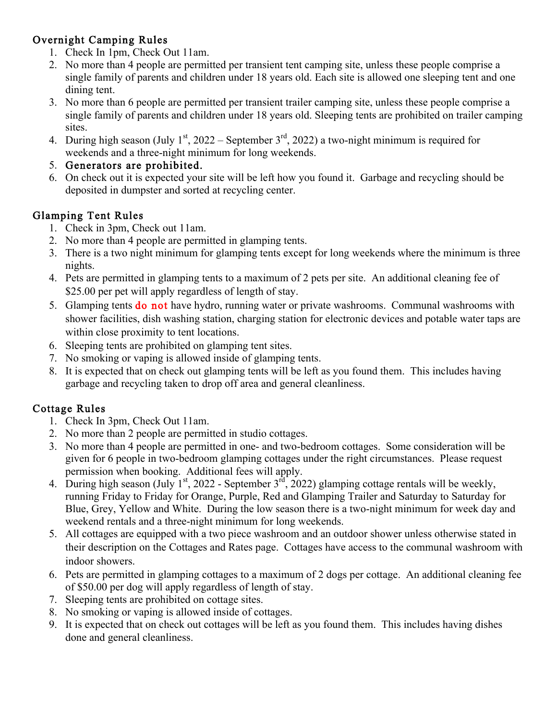# Overnight Camping Rules

- 1. Check In 1pm, Check Out 11am.
- 2. No more than 4 people are permitted per transient tent camping site, unless these people comprise a single family of parents and children under 18 years old. Each site is allowed one sleeping tent and one dining tent.
- 3. No more than 6 people are permitted per transient trailer camping site, unless these people comprise a single family of parents and children under 18 years old. Sleeping tents are prohibited on trailer camping **sites**.
- 4. During high season (July 1<sup>st</sup>, 2022 September 3<sup>rd</sup>, 2022) a two-night minimum is required for weekends and a three-night minimum for long weekends.

#### 5. Generators are prohibited.

6. On check out it is expected your site will be left how you found it. Garbage and recycling should be deposited in dumpster and sorted at recycling center.

## Glamping Tent Rules

- 1. Check in 3pm, Check out 11am.
- 2. No more than 4 people are permitted in glamping tents.
- 3. There is a two night minimum for glamping tents except for long weekends where the minimum is three nights.
- 4. Pets are permitted in glamping tents to a maximum of 2 pets per site. An additional cleaning fee of \$25.00 per pet will apply regardless of length of stay.
- 5. Glamping tents do not have hydro, running water or private washrooms. Communal washrooms with shower facilities, dish washing station, charging station for electronic devices and potable water taps are within close proximity to tent locations.
- 6. Sleeping tents are prohibited on glamping tent sites.
- 7. No smoking or vaping is allowed inside of glamping tents.
- 8. It is expected that on check out glamping tents will be left as you found them. This includes having garbage and recycling taken to drop off area and general cleanliness.

# Cottage Rules

- 1. Check In 3pm, Check Out 11am.
- 2. No more than 2 people are permitted in studio cottages.
- 3. No more than 4 people are permitted in one- and two-bedroom cottages. Some consideration will be given for 6 people in two-bedroom glamping cottages under the right circumstances. Please request permission when booking. Additional fees will apply.
- 4. During high season (July  $1^{st}$ , 2022 September  $3^{rd}$ , 2022) glamping cottage rentals will be weekly, running Friday to Friday for Orange, Purple, Red and Glamping Trailer and Saturday to Saturday for Blue, Grey, Yellow and White. During the low season there is a two-night minimum for week day and weekend rentals and a three-night minimum for long weekends.
- 5. All cottages are equipped with a two piece washroom and an outdoor shower unless otherwise stated in their description on the Cottages and Rates page. Cottages have access to the communal washroom with indoor showers.
- 6. Pets are permitted in glamping cottages to a maximum of 2 dogs per cottage. An additional cleaning fee of \$50.00 per dog will apply regardless of length of stay.
- 7. Sleeping tents are prohibited on cottage sites.
- 8. No smoking or vaping is allowed inside of cottages.
- 9. It is expected that on check out cottages will be left as you found them. This includes having dishes done and general cleanliness.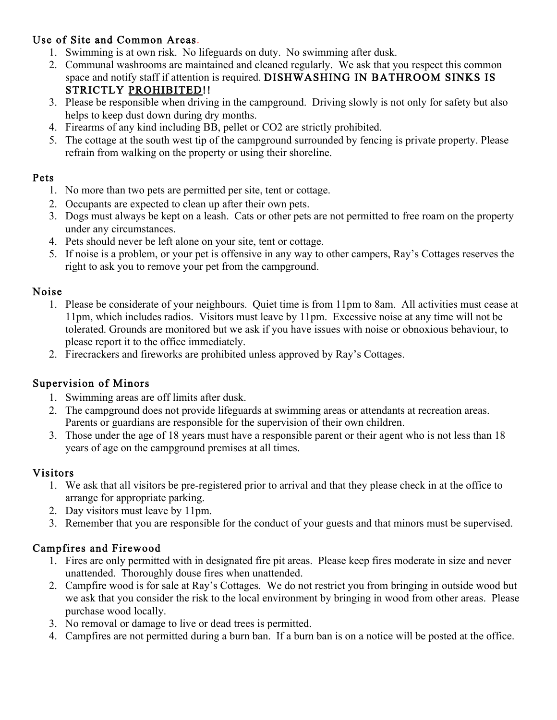# Use of Site and Common Areas.

- 1. Swimming is at own risk. No lifeguards on duty. No swimming after dusk.
- 2. Communal washrooms are maintained and cleaned regularly. We ask that you respect this common space and notify staff if attention is required. DISHWASHING IN BATHROOM SINKS IS STRICTLY PROHIBITED!!
- 3. Please be responsible when driving in the campground. Driving slowly is not only for safety but also helps to keep dust down during dry months.
- 4. Firearms of any kind including BB, pellet or CO2 are strictly prohibited.
- 5. The cottage at the south west tip of the campground surrounded by fencing is private property. Please refrain from walking on the property or using their shoreline.

#### Pets

- 1. No more than two pets are permitted per site, tent or cottage.
- 2. Occupants are expected to clean up after their own pets.
- 3. Dogs must always be kept on a leash. Cats or other pets are not permitted to free roam on the property under any circumstances.
- 4. Pets should never be left alone on your site, tent or cottage.
- 5. If noise is a problem, or your pet is offensive in any way to other campers, Ray's Cottages reserves the right to ask you to remove your pet from the campground.

#### Noise

- 1. Please be considerate of your neighbours. Quiet time is from 11pm to 8am. All activities must cease at 11pm, which includes radios. Visitors must leave by 11pm. Excessive noise at any time will not be tolerated. Grounds are monitored but we ask if you have issues with noise or obnoxious behaviour, to please report it to the office immediately.
- 2. Firecrackers and fireworks are prohibited unless approved by Ray's Cottages.

#### Supervision of Minors

- 1. Swimming areas are off limits after dusk.
- 2. The campground does not provide lifeguards at swimming areas or attendants at recreation areas. Parents or guardians are responsible for the supervision of their own children.
- 3. Those under the age of 18 years must have a responsible parent or their agent who is not less than 18 years of age on the campground premises at all times.

#### Visitors

- 1. We ask that all visitors be pre-registered prior to arrival and that they please check in at the office to arrange for appropriate parking.
- 2. Day visitors must leave by 11pm.
- 3. Remember that you are responsible for the conduct of your guests and that minors must be supervised.

## Campfires and Firewood

- 1. Fires are only permitted with in designated fire pit areas. Please keep fires moderate in size and never unattended. Thoroughly douse fires when unattended.
- 2. Campfire wood is for sale at Ray's Cottages. We do not restrict you from bringing in outside wood but we ask that you consider the risk to the local environment by bringing in wood from other areas. Please purchase wood locally.
- 3. No removal or damage to live or dead trees is permitted.
- 4. Campfires are not permitted during a burn ban. If a burn ban is on a notice will be posted at the office.